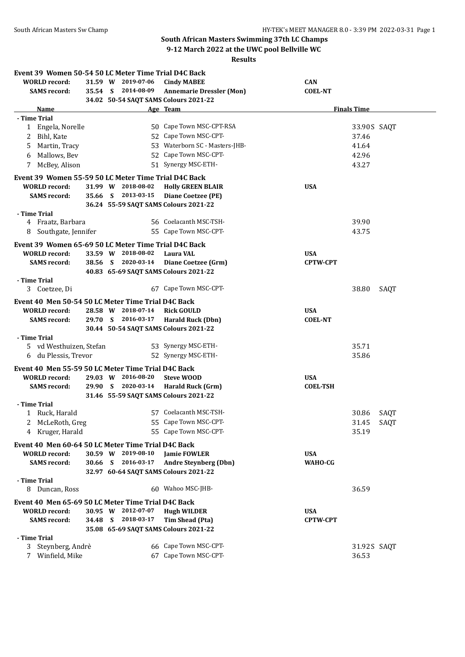# **South African Masters Swimming 37th LC Champs**

**9-12 March 2022 at the UWC pool Bellville WC**

|                                                                                                     | <b>Results</b> |  |                                          |                                                                                                |                              |                    |      |  |  |
|-----------------------------------------------------------------------------------------------------|----------------|--|------------------------------------------|------------------------------------------------------------------------------------------------|------------------------------|--------------------|------|--|--|
| Event 39 Women 50-54 50 LC Meter Time Trial D4C Back<br><b>WORLD</b> record:<br><b>SAMS</b> record: |                |  | 31.59 W 2019-07-06<br>35.54 S 2014-08-09 | <b>Cindy MABEE</b><br><b>Annemarie Dressler (Mon)</b><br>34.02 50-54 SAQT SAMS Colours 2021-22 | <b>CAN</b><br><b>COEL-NT</b> |                    |      |  |  |
| <b>Name</b>                                                                                         |                |  |                                          | Age Team                                                                                       |                              | <b>Finals Time</b> |      |  |  |
| - Time Trial                                                                                        |                |  |                                          |                                                                                                |                              |                    |      |  |  |
| 1 Engela, Norelle                                                                                   |                |  |                                          | 50 Cape Town MSC-CPT-RSA                                                                       |                              | 33.90 S SAQT       |      |  |  |
| Bihl, Kate<br>2                                                                                     |                |  |                                          | 52 Cape Town MSC-CPT-                                                                          |                              | 37.46              |      |  |  |
| Martin, Tracy<br>5.                                                                                 |                |  |                                          | 53 Waterborn SC - Masters-JHB-                                                                 |                              | 41.64              |      |  |  |
| Mallows, Bev<br>6                                                                                   |                |  |                                          | 52 Cape Town MSC-CPT-                                                                          |                              | 42.96              |      |  |  |
| McBey, Alison<br>7                                                                                  |                |  |                                          | 51 Synergy MSC-ETH-                                                                            |                              | 43.27              |      |  |  |
| Event 39 Women 55-59 50 LC Meter Time Trial D4C Back                                                |                |  |                                          |                                                                                                |                              |                    |      |  |  |
| <b>WORLD</b> record:                                                                                |                |  | 31.99 W 2018-08-02                       | <b>Holly GREEN BLAIR</b>                                                                       | <b>USA</b>                   |                    |      |  |  |
| <b>SAMS</b> record:                                                                                 |                |  | 35.66 S 2013-03-15                       | Diane Coetzee (PE)                                                                             |                              |                    |      |  |  |
|                                                                                                     |                |  |                                          | 36.24 55-59 SAQT SAMS Colours 2021-22                                                          |                              |                    |      |  |  |
| - Time Trial<br>4 Fraatz, Barbara                                                                   |                |  |                                          | 56 Coelacanth MSC-TSH-                                                                         |                              | 39.90              |      |  |  |
|                                                                                                     |                |  |                                          | 55 Cape Town MSC-CPT-                                                                          |                              |                    |      |  |  |
| Southgate, Jennifer<br>8                                                                            |                |  |                                          |                                                                                                |                              | 43.75              |      |  |  |
| Event 39 Women 65-69 50 LC Meter Time Trial D4C Back                                                |                |  |                                          |                                                                                                |                              |                    |      |  |  |
| <b>WORLD</b> record:                                                                                |                |  | 33.59 W 2018-08-02                       | <b>Laura VAL</b>                                                                               | <b>USA</b>                   |                    |      |  |  |
| <b>SAMS</b> record:                                                                                 |                |  | 38.56 S 2020-03-14                       | Diane Coetzee (Grm)                                                                            | <b>CPTW-CPT</b>              |                    |      |  |  |
| - Time Trial                                                                                        |                |  |                                          | 40.83 65-69 SAQT SAMS Colours 2021-22                                                          |                              |                    |      |  |  |
| 3 Coetzee, Di                                                                                       |                |  |                                          | 67 Cape Town MSC-CPT-                                                                          |                              | 38.80              | SAOT |  |  |
| Event 40 Men 50-54 50 LC Meter Time Trial D4C Back                                                  |                |  |                                          |                                                                                                |                              |                    |      |  |  |
| <b>WORLD record:</b>                                                                                |                |  | 28.58 W 2018-07-14                       | <b>Rick GOULD</b>                                                                              | <b>USA</b>                   |                    |      |  |  |
| <b>SAMS</b> record:                                                                                 |                |  | 29.70 S 2016-03-17                       | <b>Harald Ruck (Dbn)</b>                                                                       | <b>COEL-NT</b>               |                    |      |  |  |
|                                                                                                     |                |  |                                          | 30.44 50-54 SAQT SAMS Colours 2021-22                                                          |                              |                    |      |  |  |
| - Time Trial                                                                                        |                |  |                                          |                                                                                                |                              |                    |      |  |  |
| 5 vd Westhuizen, Stefan                                                                             |                |  |                                          | 53 Synergy MSC-ETH-                                                                            |                              | 35.71              |      |  |  |
| 6 du Plessis, Trevor                                                                                |                |  |                                          | 52 Synergy MSC-ETH-                                                                            |                              | 35.86              |      |  |  |
| Event 40 Men 55-59 50 LC Meter Time Trial D4C Back                                                  |                |  |                                          |                                                                                                |                              |                    |      |  |  |
| <b>WORLD</b> record:                                                                                |                |  | 29.03 W 2016-08-20                       | <b>Steve WOOD</b>                                                                              | <b>USA</b>                   |                    |      |  |  |
| <b>SAMS</b> record:                                                                                 |                |  | 29.90 S 2020-03-14                       | <b>Harald Ruck (Grm)</b>                                                                       | <b>COEL-TSH</b>              |                    |      |  |  |
|                                                                                                     |                |  |                                          | 31.46 55-59 SAQT SAMS Colours 2021-22                                                          |                              |                    |      |  |  |
| - Time Trial<br>Ruck, Harald<br>1                                                                   |                |  |                                          | 57 Coelacanth MSC-TSH-                                                                         |                              | 30.86              | SAQT |  |  |
| McLeRoth, Greg                                                                                      |                |  |                                          | 55 Cape Town MSC-CPT-                                                                          |                              | 31.45              | SAQT |  |  |
| Kruger, Harald<br>4                                                                                 |                |  |                                          | 55 Cape Town MSC-CPT-                                                                          |                              | 35.19              |      |  |  |
|                                                                                                     |                |  |                                          |                                                                                                |                              |                    |      |  |  |
| Event 40 Men 60-64 50 LC Meter Time Trial D4C Back                                                  |                |  |                                          |                                                                                                |                              |                    |      |  |  |
| <b>WORLD</b> record:                                                                                |                |  | 30.59 W 2019-08-10                       | <b>Jamie FOWLER</b>                                                                            | <b>USA</b>                   |                    |      |  |  |
| <b>SAMS</b> record:                                                                                 |                |  | 30.66 S 2016-03-17                       | <b>Andre Steynberg (Dbn)</b><br>32.97 60-64 SAQT SAMS Colours 2021-22                          | WAHO-CG                      |                    |      |  |  |
| - Time Trial                                                                                        |                |  |                                          |                                                                                                |                              |                    |      |  |  |
| 8 Duncan, Ross                                                                                      |                |  |                                          | 60 Wahoo MSC-JHB-                                                                              |                              | 36.59              |      |  |  |
|                                                                                                     |                |  |                                          |                                                                                                |                              |                    |      |  |  |
| Event 40 Men 65-69 50 LC Meter Time Trial D4C Back                                                  |                |  | 30.95 W 2012-07-07                       |                                                                                                | <b>USA</b>                   |                    |      |  |  |
| <b>WORLD</b> record:<br><b>SAMS</b> record:                                                         |                |  | 34.48 S 2018-03-17                       | <b>Hugh WILDER</b><br><b>Tim Shead (Pta)</b>                                                   | CPTW-CPT                     |                    |      |  |  |
|                                                                                                     |                |  |                                          | 35.08 65-69 SAQT SAMS Colours 2021-22                                                          |                              |                    |      |  |  |
| - Time Trial                                                                                        |                |  |                                          |                                                                                                |                              |                    |      |  |  |
|                                                                                                     |                |  |                                          |                                                                                                |                              |                    |      |  |  |

3 Steynberg, Andreè 66 Cape Town MSC-CPT- 31.92S SAQT 7 Winfield, Mike 67 Cape Town MSC-CPT- 36.53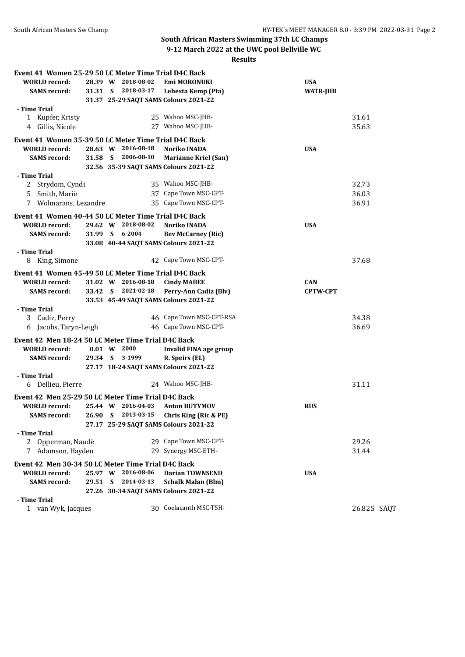## **South African Masters Swimming 37th LC Champs**

**9-12 March 2022 at the UWC pool Bellville WC**

### **Results**

| Event 41 Women 25-29 50 LC Meter Time Trial D4C Back |         |                     |                                       |                 |              |
|------------------------------------------------------|---------|---------------------|---------------------------------------|-----------------|--------------|
| <b>WORLD</b> record:                                 |         | 28.39 W 2018-08-02  | Emi MORONUKI                          | <b>USA</b>      |              |
| <b>SAMS</b> record:                                  |         | 31.31 S 2018-03-17  | Lehesta Kemp (Pta)                    | <b>WATR-JHB</b> |              |
|                                                      |         |                     | 31.37 25-29 SAQT SAMS Colours 2021-22 |                 |              |
| - Time Trial                                         |         |                     |                                       |                 |              |
| 1 Kupfer, Kristy                                     |         |                     | 25 Wahoo MSC-JHB-                     |                 | 31.61        |
| 4 Gillis, Nicole                                     |         |                     | 27 Wahoo MSC-JHB-                     |                 | 35.63        |
| Event 41 Women 35-39 50 LC Meter Time Trial D4C Back |         |                     |                                       |                 |              |
| <b>WORLD</b> record:                                 |         | 28.63 W 2016-08-18  | Noriko INADA                          | <b>USA</b>      |              |
|                                                      | 31.58 S | 2006-08-10          |                                       |                 |              |
| <b>SAMS</b> record:                                  |         |                     | <b>Marianne Kriel (San)</b>           |                 |              |
| - Time Trial                                         |         |                     | 32.56 35-39 SAQT SAMS Colours 2021-22 |                 |              |
| 2 Strydom, Cyndi                                     |         |                     | 35 Wahoo MSC-JHB-                     |                 | 32.73        |
|                                                      |         |                     | 37 Cape Town MSC-CPT-                 |                 |              |
| 5 Smith, Mariè                                       |         |                     |                                       |                 | 36.03        |
| Wolmarans, Lezandre<br>7                             |         |                     | 35 Cape Town MSC-CPT-                 |                 | 36.91        |
| Event 41 Women 40-44 50 LC Meter Time Trial D4C Back |         |                     |                                       |                 |              |
| <b>WORLD</b> record:                                 |         | 29.62 W 2018-08-02  | Noriko INADA                          | <b>USA</b>      |              |
| <b>SAMS</b> record:                                  |         | 31.99 S 6-2004      | <b>Bev McCarney (Ric)</b>             |                 |              |
|                                                      |         |                     | 33.08 40-44 SAQT SAMS Colours 2021-22 |                 |              |
| - Time Trial                                         |         |                     |                                       |                 |              |
| 8 King, Simone                                       |         |                     | 42 Cape Town MSC-CPT-                 |                 | 37.68        |
| Event 41 Women 45-49 50 LC Meter Time Trial D4C Back |         |                     |                                       |                 |              |
| <b>WORLD</b> record:                                 |         | 31.02 W 2016-08-18  | <b>Cindy MABEE</b>                    | <b>CAN</b>      |              |
| <b>SAMS</b> record:                                  |         | 33.42 S 2021-02-18  | Perry-Ann Cadiz (Blv)                 | <b>CPTW-CPT</b> |              |
|                                                      |         |                     | 33.53 45-49 SAQT SAMS Colours 2021-22 |                 |              |
| - Time Trial                                         |         |                     |                                       |                 |              |
| 3 Cadiz, Perry                                       |         |                     | 46 Cape Town MSC-CPT-RSA              |                 | 34.38        |
| 6 Jacobs, Taryn-Leigh                                |         |                     | 46 Cape Town MSC-CPT-                 |                 | 36.69        |
|                                                      |         |                     |                                       |                 |              |
| Event 42 Men 18-24 50 LC Meter Time Trial D4C Back   |         |                     |                                       |                 |              |
| <b>WORLD</b> record:                                 |         | $0.01 \t W \t 2000$ | Invalid FINA age group                |                 |              |
| <b>SAMS</b> record:                                  |         | 29.34 S 3-1999      | R. Speirs (EL)                        |                 |              |
|                                                      |         |                     | 27.17 18-24 SAQT SAMS Colours 2021-22 |                 |              |
| - Time Trial                                         |         |                     |                                       |                 |              |
| 6 Dellieu, Pierre                                    |         |                     | 24 Wahoo MSC-JHB-                     |                 | 31.11        |
| Event 42 Men 25-29 50 LC Meter Time Trial D4C Back   |         |                     |                                       |                 |              |
| <b>WORLD</b> record:                                 |         | 25.44 W 2016-04-03  | <b>Anton BUTYMOV</b>                  | <b>RUS</b>      |              |
| <b>SAMS</b> record:                                  | 26.90 S | 2013-03-15          | Chris King (Ric & PE)                 |                 |              |
|                                                      |         |                     | 27.17 25-29 SAQT SAMS Colours 2021-22 |                 |              |
| - Time Trial                                         |         |                     |                                       |                 |              |
| 2 Opperman, Naudè                                    |         |                     | 29 Cape Town MSC-CPT-                 |                 | 29.26        |
| 7 Adamson, Hayden                                    |         |                     | 29 Synergy MSC-ETH-                   |                 | 31.44        |
| Event 42 Men 30-34 50 LC Meter Time Trial D4C Back   |         |                     |                                       |                 |              |
| <b>WORLD</b> record:                                 |         | 25.97 W 2016-08-06  | <b>Darian TOWNSEND</b>                | <b>USA</b>      |              |
| <b>SAMS</b> record:                                  | 29.51 S | 2014-03-13          | <b>Schalk Malan (Blm)</b>             |                 |              |
|                                                      |         |                     | 27.26 30-34 SAQT SAMS Colours 2021-22 |                 |              |
| - Time Trial                                         |         |                     |                                       |                 |              |
| 1 van Wyk, Jacques                                   |         |                     | 30 Coelacanth MSC-TSH-                |                 | 26.82 S SAQT |
|                                                      |         |                     |                                       |                 |              |